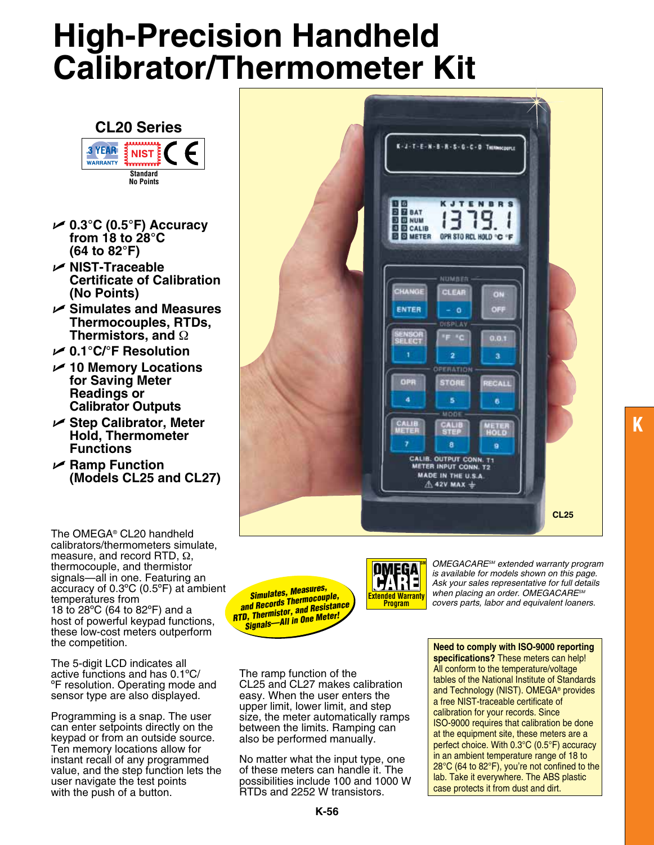# **High-Precision Handheld Calibrator/Thermometer Kit**



- U **0.3°C (0.5°F) Accuracy from 18 to 28°C (64 to 82°F)**
- U **NIST-Traceable Certificate of Calibration (No Points)**
- U **Simulates and Measures Thermocouples, RTDs, Thermistors, and** Ω
- U **0.1°C/°F Resolution**
- U **10 Memory Locations for Saving Meter Readings or Calibrator Outputs**
- U **Step Calibrator, Meter Hold, Thermometer Functions**
- U **Ramp Function (Models CL25 and CL27)**

The OMEGA® CL20 handheld calibrators/thermometers simulate, measure, and record RTD, Ω, thermocouple, and thermistor signals—all in one. Featuring an accuracy of 0.3ºC (0.5ºF) at ambient temperatures from 18 to 28ºC (64 to 82ºF) and a host of powerful keypad functions, these low-cost meters outperform the competition.

The 5-digit LCD indicates all active functions and has 0.1ºC/ ºF resolution. Operating mode and sensor type are also displayed.

Programming is a snap. The user can enter setpoints directly on the keypad or from an outside source. Ten memory locations allow for instant recall of any programmed value, and the step function lets the user navigate the test points with the push of a button.



*RTD, Thermistor, and Resistance Signals—All in One Meter!*



**SM** *OMEGACARESM extended warranty program is available for models shown on this page. Ask your sales representative for full details when placing an order. OMEGACARESM*  **covers provided to the COVERT PARTS,** *Simulates, Measures,* **and Records Thermocouple, and Records Thermocouple, and Records Thermocouple, and Records Thermocouple, and Resistance Program covers parts, labor and equivalent** 

The ramp function of the CL25 and CL27 makes calibration easy. When the user enters the upper limit, lower limit, and step size, the meter automatically ramps between the limits. Ramping can also be performed manually.

No matter what the input type, one of these meters can handle it. The possibilities include 100 and 1000 W RTDs and 2252 W transistors.

**Need to comply with ISO-9000 reporting specifications?** These meters can help! All conform to the temperature/voltage tables of the National Institute of Standards and Technology (NIST). OMEGA® provides a free NIST-traceable certificate of calibration for your records. Since ISO-9000 requires that calibration be done at the equipment site, these meters are a perfect choice. With 0.3°C (0.5°F) accuracy in an ambient temperature range of 18 to 28°C (64 to 82°F), you're not confined to the lab. Take it everywhere. The ABS plastic case protects it from dust and dirt.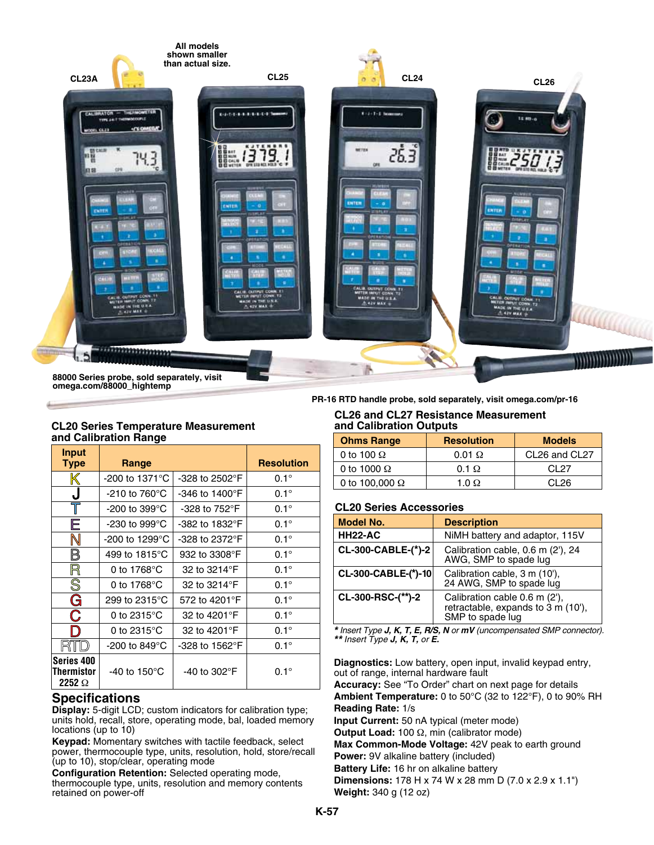

**88000 Series probe, sold separately, visit omega.com/88000\_hightemp**

## **CL20 Series Temperature Measurement and Calibration Range**

| <b>Input</b><br><b>Type</b>               | Range                               |                                 | <b>Resolution</b> |
|-------------------------------------------|-------------------------------------|---------------------------------|-------------------|
| K                                         | $-200$ to 1371 $^{\circ}$ C         | $-328$ to 2502 $\degree$ F      | $0.1^\circ$       |
| J                                         | $-210$ to 760 $^{\circ}$ C          | $-346$ to 1400 $\degree$ F      | $0.1^\circ$       |
|                                           | -200 to 399 $^{\circ}$ C $^{\circ}$ | $-328$ to $752^{\circ}$ F       | $0.1^\circ$       |
| Ε                                         | -230 to 999 $^{\circ}$ C            | -382 to 1832°F                  | $0.1^\circ$       |
| N                                         | -200 to 1299°C                      | $-328$ to 2372 $\degree$ F      | $0.1^\circ$       |
| B                                         | 499 to 1815°C                       | 932 to 3308°F                   | $0.1^\circ$       |
| R                                         | 0 to 1768 $\mathrm{^{\circ}C}$      | 32 to 3214°F                    | $0.1^\circ$       |
| $\overline{\mathbb{S}}$                   | 0 to $1768^{\circ}$ C               | 32 to 3214°F                    | $0.1^\circ$       |
| G                                         | 299 to 2315°C                       | 572 to 4201°F                   | $0.1^\circ$       |
| C                                         | 0 to 2315 $\degree$ C               | 32 to 4201°F                    | $0.1^\circ$       |
| D                                         | 0 to $2315^{\circ}$ C               | 32 to 4201°F                    | $0.1^\circ$       |
|                                           | -200 to 849 $^{\circ}$ C            | -328 to 1562°F                  | $0.1^\circ$       |
| Series 400<br>Thermistor<br>2252 $\Omega$ | -40 to 150 $^{\circ}$ C             | -40 to 302 $\mathrm{^{\circ}F}$ | $0.1^\circ$       |

# **Specifications**

**Display:** 5-digit LCD; custom indicators for calibration type; units hold, recall, store, operating mode, bal, loaded memory locations (up to 10)

**Keypad:** Momentary switches with tactile feedback, select power, thermocouple type, units, resolution, hold, store/recall (up to 10), stop/clear, operating mode

**Configuration Retention:** Selected operating mode, thermocouple type, units, resolution and memory contents retained on power-off

**PR-16 RTD handle probe, sold separately, visit omega.com/pr-16**

#### **CL26 and CL27 Resistance Measurement and Calibration Outputs**

| <b>Ohms Range</b>     | <b>Resolution</b> | <b>Models</b> |  |
|-----------------------|-------------------|---------------|--|
| 0 to 100 $\Omega$     | $0.01 \Omega$     | CL26 and CL27 |  |
| 0 to 1000 $\Omega$    | $0.1 \Omega$      | CL 27         |  |
| 0 to 100,000 $\Omega$ | 1.0 $\Omega$      | CI.26         |  |

## **CL20 Series Accessories**

| <b>Model No.</b>    | <b>Description</b>                                                                                |  |  |
|---------------------|---------------------------------------------------------------------------------------------------|--|--|
| <b>HH22-AC</b>      | NiMH battery and adaptor, 115V                                                                    |  |  |
| CL-300-CABLE-(*)-2  | Calibration cable, 0.6 m (2'), 24<br>AWG, SMP to spade lug                                        |  |  |
| CL-300-CABLE-(*)-10 | Calibration cable, 3 m (10'),<br>24 AWG, SMP to spade lug                                         |  |  |
| CL-300-RSC-(**)-2   | Calibration cable 0.6 m (2'),<br>retractable, expands to $3 \text{ m}$ (10'),<br>SMP to spade lug |  |  |

*\* Insert Type J, K, T, E, R/S, N or mV (uncompensated SMP connector). \*\* Insert Type J, K, T, or E.*

**Diagnostics:** Low battery, open input, invalid keypad entry, out of range, internal hardware fault

**Accuracy:** See "To Order" chart on next page for details **Ambient Temperature:** 0 to 50°C (32 to 122°F), 0 to 90% RH **Reading Rate:** 1/s

**Input Current:** 50 nA typical (meter mode)

**Output Load:** 100 Ω, min (calibrator mode)

**Max Common-Mode Voltage:** 42V peak to earth ground **Power:** 9V alkaline battery (included)

**Battery Life:** 16 hr on alkaline battery

**Dimensions:** 178 H x 74 W x 28 mm D (7.0 x 2.9 x 1.1") **Weight:** 340 g (12 oz)